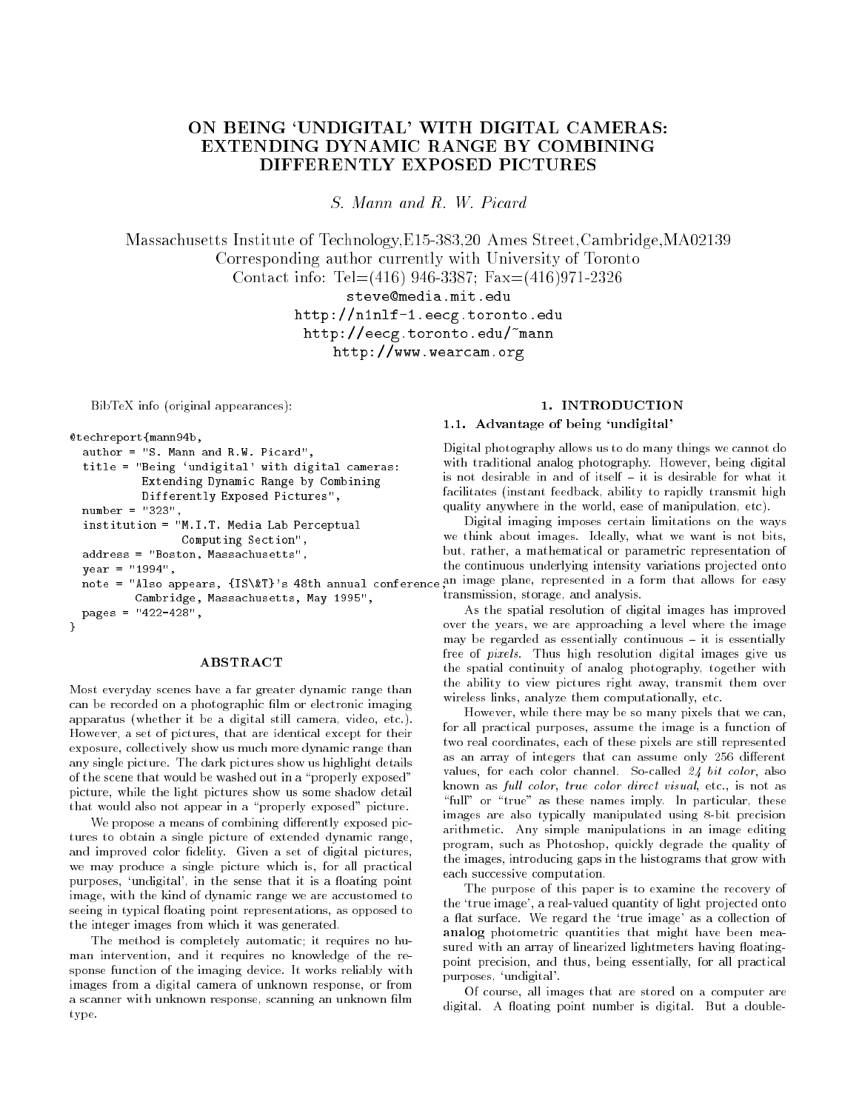# ON BEING `UNDIGITAL' WITH DIGITAL CAMERAS: EXTENDING DYNAMIC RANGE BY COMBINING DIFFERENTLY EXPOSED PICTURES

S. Mann and R. W. Picard

Massachusetts Institute of Technology,E15-383,20 Ames Street,Cambridge,MA02139 Corresponding author currently with University of Toronto Contact info: Tel=(416) 946-3387; Fax=(416)971-2326 steve@media.mit.edu

> http://n1nlf-1.eecg.toronto.eduhttp://eecg.toronto.edu/~mannhttp://www.wearcam.org

BibTeX info (original appearances):

```
@techreport{mann94b,
```

```
author = "S. Mann and R.W. Picard",
 title = "Being 'undigital' with digital cameras:Extending Dynamic Range by Combining
           Differently Exposed Pictures",
 number = "323",
 institution = "M.I.T. Media Lab Perceptual
                 Computing Section",
 address = "Boston, Massachusetts",
          Cambridge, Massachusetts, May 1995",
 pages = "422-428",
}
```
#### ABSTRACT

Most everyday scenes have a far greater dynamic range than can be recorded on a photographic film or electronic imaging apparatus (whether it be a digital still camera, video, etc.). However, a set of pictures, that are identical except for their exposure, collectively show us much more dynamic range than any single picture. The dark pictures show us highlight details of the scene that would be washed out in a "properly exposed" picture, while the light pictures show us some shadow detail that would also not appear in a "properly exposed" picture.

We propose a means of combining differently exposed pictures to obtain a single picture of extended dynamic range, and improved color fidelity. Given a set of digital pictures, we may produce a single picture which is, for all practical purposes, 'undigital', in the sense that it is a floating point image, with the kind of dynamic range we are accustomed to seeing in typical floating point representations, as opposed to the integer images from which it was generated.

The method is completely automatic; it requires no human intervention, and it requires no knowledge of the response function of the imaging device. It works reliably with images from a digital camera of unknown response, or from a scanner with unknown response, scanning an unknown film type.

# 1. INTRODUCTION

# 1.1. Advantage of being `undigital'

Digital photography allows us to do many things we cannot do with traditional analog photography. However, being digital is not desirable in and of itself  $-$  it is desirable for what it facilitates (instant feedback, ability to rapidly transmit high quality anywhere in the world, ease of manipulation, etc).

y---<br>note = "Also appears, {IS\&T}'s 48th annual conference.<sup>an image</sup> plane, represented in a form that allows for easy Digital imaging imposes certain limitations on the ways we think about images. Ideally, what we want is not bits, but, rather, a mathematical or parametric representation of the continuous underlying intensity variations pro jected onto transmission, storage, and analysis.

> As the spatial resolution of digital images has improved over the years, we are approaching a level where the image may be regarded as essentially continuous  $-$  it is essentially free of pixels. Thus high resolution digital images give us the spatial continuity of analog photography, together with the ability to view pictures right away, transmit them over wireless links, analyze them computationally, etc.

> However, while there may be so many pixels that we can, for all practical purposes, assume the image is a function of two real coordinates, each of these pixels are still represented as an array of integers that can assume only 256 different values, for each color channel. So-called <sup>24</sup> bit color, also known as full color, true color direct visual, etc., is not as "full" or "true" as these names imply. In particular, these images are also typically manipulated using 8-bit precision arithmetic. Any simple manipulations in an image editing program, such as Photoshop, quickly degrade the quality of the images, introducing gaps in the histograms that grow with each successive computation.

> The purpose of this paper is to examine the recovery of the 'true image', a real-valued quantity of light projected onto a flat surface. We regard the 'true image' as a collection of analog photometric quantities that might have been measured with an array of linearized lightmeters having floatingpoint precision, and thus, being essentially, for all practical purposes, `undigital'.

> Of course, all images that are stored on a computer are digital. A floating point number is digital. But a double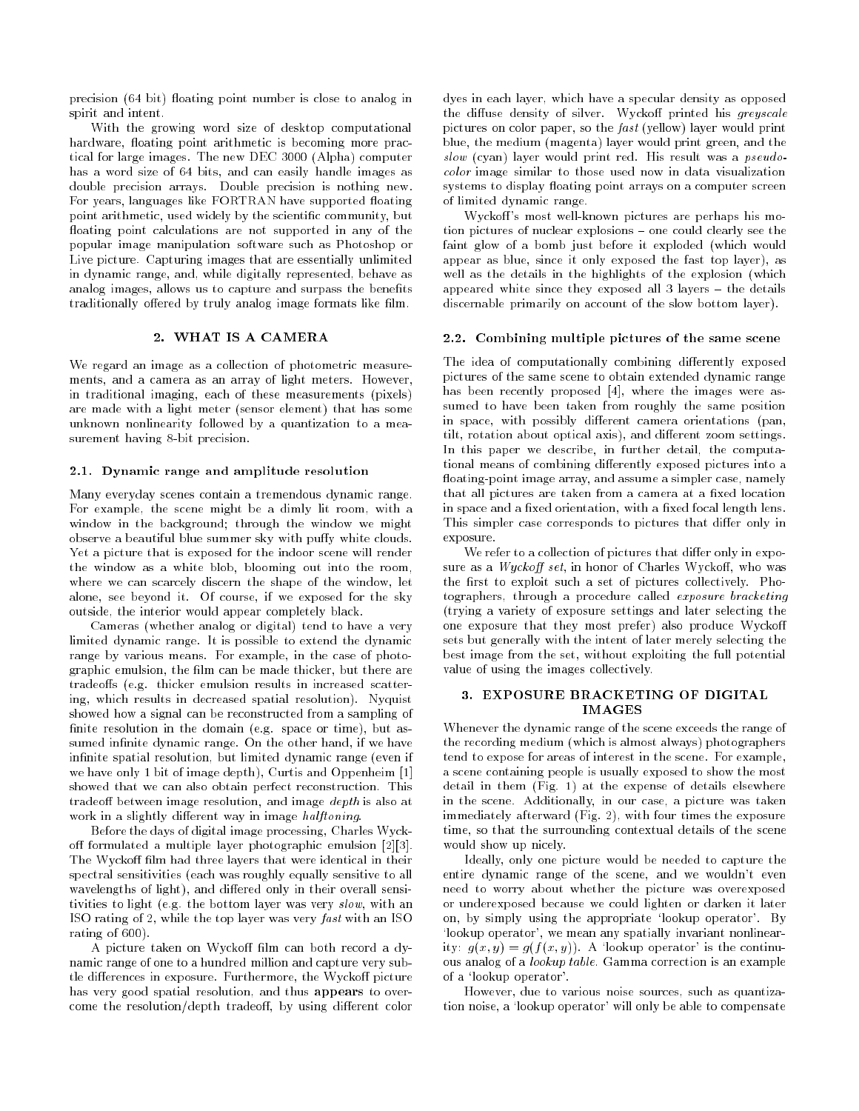precision (64 bit) floating point number is close to analog in spirit and intent.

With the growing word size of desktop computational hardware, floating point arithmetic is becoming more practical for large images. The new DEC 3000 (Alpha) computer has a word size of 64 bits, and can easily handle images as double precision arrays. Double precision is nothing new. For years, languages like FORTRAN have supported floating point arithmetic, used widely by the scientific community, but floating point calculations are not supported in any of the popular image manipulation software such as Photoshop or Live picture. Capturing images that are essentially unlimited in dynamic range, and, while digitally represented, behave as analog images, allows us to capture and surpass the benefits traditionally offered by truly analog image formats like film.

#### 2. WHAT IS A CAMERA

We regard an image as a collection of photometric measurements, and a camera as an array of light meters. However, in traditional imaging, each of these measurements (pixels) are made with a light meter (sensor element) that has some unknown nonlinearity followed by a quantization to a measurement having 8-bit precision.

#### 2.1. Dynamic range and amplitude resolution

Many everyday scenes contain a tremendous dynamic range. For example, the scene might be a dimly lit room, with a window in the background; through the window we might observe a beautiful blue summer sky with puffy white clouds. Yet a picture that is exposed for the indoor scene will render the window as a white blob. blooming out into the room. the window as a white blooming out into the room, blooming out into the room, blooming out into the room,  $\mathbf{r}_i$ where we can scarcely discern the shape of the window, let alone, see beyond it. Of course, if we exposed for the sky outside, the interior would appear completely black.

Cameras (whether analog or digital) tend to have a very limited dynamic range. It is possible to extend the dynamic range by various means. For example, in the case of photographic emulsion, the film can be made thicker, but there are tradeoffs (e.g. thicker emulsion results in increased scattering, which results in decreased spatial resolution). Nyquist showed how a signal can be reconstructed from a sampling of finite resolution in the domain (e.g. space or time), but assumed infinite dynamic range. On the other hand, if we have infinite spatial resolution, but limited dynamic range (even if we have only 1 bit of image depth), Curtis and Oppenheim [1] showed that we can also obtain perfect reconstruction. This tradeoff between image resolution, and image  $depth$  is also at work in a slightly different way in image halftoning.

Before the days of digital image processing, Charles Wyckoff formulated a multiple layer photographic emulsion  $[2][3]$ . The Wyckoff film had three layers that were identical in their The Wycko lm had three layers that were identical in the Wycko lm had three layers that were identical in the identical in the identical in the identical in the identical in the identical in the identical in the identical spectral sensitivities (each was roughly equally sensitive to all wavelengths of light), and differed only in their overall sensitivities to light (e.g. the bottom layer was very slow, with an ISO rating of 2, while the top layer was very fast with an ISO rating of 600).

A picture taken on Wyckoff film can both record a dynamic range of one to a hundred million and capture very subtle differences in exposure. Furthermore, the Wyckoff picture has very good spatial resolution, and thus appears to overcome the resolution/depth tradeoff, by using different color dyes in each layer, which have a specular density as opposed the diffuse density of silver. Wyckoff printed his greyscale pictures on color paper, so the fast (yellow) layer would print blue, the medium (magenta) layer would print green, and the slow (cyan) layer would print red. His result was a pseudocolor image similar to those used now in data visualization systems to display floating point arrays on a computer screen of limited dynamic range.

Wyckoff's most well-known pictures are perhaps his motion pictures of nuclear explosions  $=$  one could clearly see the faint glow of a bomb just before it exploded (which would appear as blue, since it only exposed the fast top layer), as well as the details in the highlights of the explosion (which appeared white since they exposed all  $3$  layers  $-$  the details discernable primarily on account of the slow bottom layer).

#### 2.2. Combining multiple pictures of the same scene

The idea of computationally combining differently exposed pictures of the same scene to obtain extended dynamic range has been recently proposed [4], where the images were assumed to have been taken from roughly the same position in space, with possibly different camera orientations (pan, tilt, rotation about optical axis), and different zoom settings. In this paper we describe, in further detail, the computational means of combining differently exposed pictures into a floating-point image array, and assume a simpler case, namely that all pictures are taken from a camera at a fixed location in space and a fixed orientation, with a fixed focal length lens. This simpler case corresponds to pictures that differ only in exposure.

We refer to a collection of pictures that differ only in exposure as a  $Wuckoff set$ , in honor of Charles Wyckoff, who was the first to exploit such a set of pictures collectively. Photographers, through a procedure called exposure bracketing (trying a variety of exposure settings and later selecting the one exposure that they most prefer) also produce Wycko sets but generally with the intent of later merely selecting the best image from the set, without exploiting the full potential value of using the images collectively.

# 3. EXPOSURE BRACKETING OF DIGITAL **IMAGES**

Whenever the dynamic range of the scene exceeds the range of the recording medium (which is almost always) photographers tend to expose for areas of interest in the scene. For example, a scene containing people is usually exposed to show the most detail in them (Fig. 1) at the expense of details elsewhere in the scene. Additionally, in our case, a picture was taken immediately afterward (Fig. 2), with four times the exposure time, so that the surrounding contextual details of the scene would show up nicely.

Ideally, only one picture would be needed to capture the entire dynamic range of the scene, and we wouldn't even need to worry about whether the picture was overexposed or underexposed because we could lighten or darken it later on, by simply using the appropriate `lookup operator'. By 'lookup operator', we mean any spatially invariant nonlinearity:  $g(x, y) = g(f(x, y))$ . A 'lookup operator' is the continuous analog of a lookup table. Gamma correction is an example of a `lookup operator'.

However, due to various noise sources, such as quantization noise, a `lookup operator' will only be able to compensate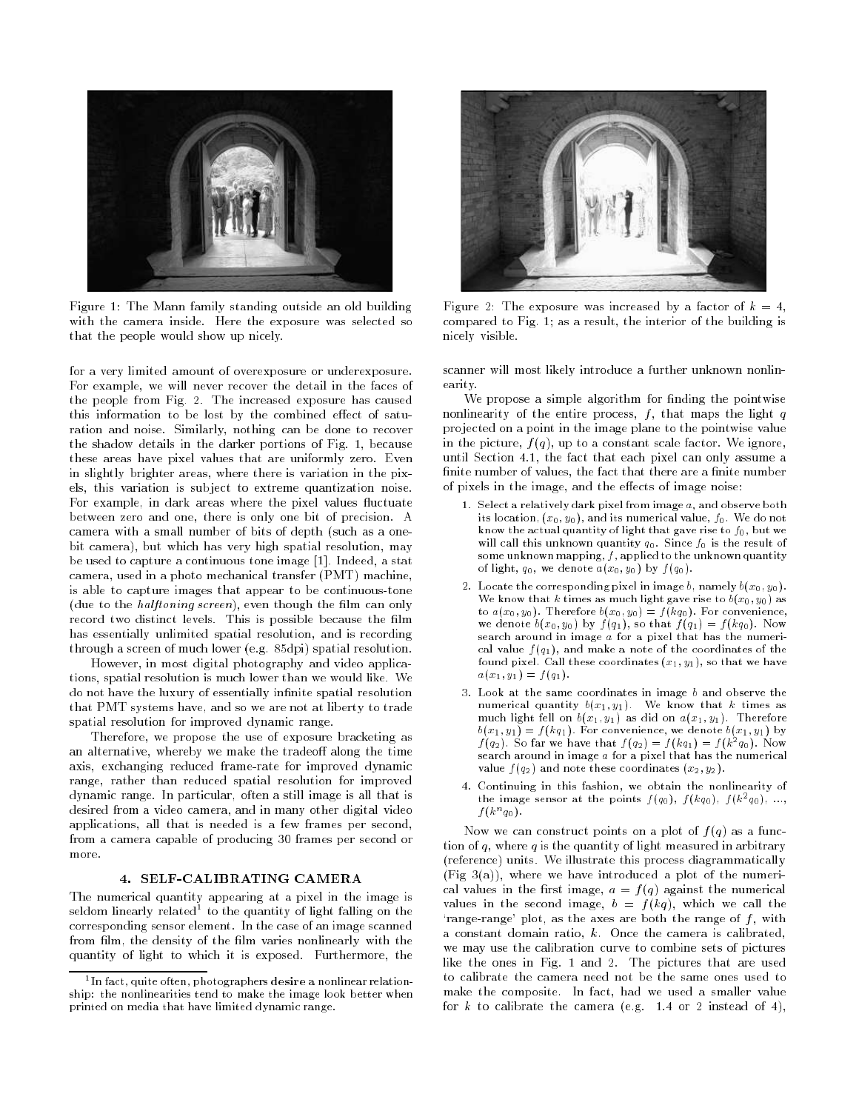

Figure 1: The Mann family standing outside an old building with the camera inside. Here the exposure was selected so that the people would show up nicely.

for a very limited amount of overexposure or underexposure. For example, we will never recover the detail in the faces of the people from Fig. 2. The increased exposure has caused this information to be lost by the combined effect of saturation and noise. Similarly, nothing can be done to recover the shadow details in the darker portions of Fig. 1, because these areas have pixel values that are uniformly zero. Even in slightly brighter areas, where there is variation in the pixels, this variation is sub ject to extreme quantization noise. For example, in dark areas where the pixel values fluctuate between zero and one, there is only one bit of precision. A camera with a small number of bits of depth (such as a onebit camera), but which has very high spatial resolution, may be used to capture a continuous tone image [1]. Indeed, a stat camera, used in a photo mechanical transfer (PMT) machine, is able to capture images that appear to be continuous-tone (due to the *halftoning screen*), even though the film can only record two distinct levels. This is possible because the film has essentially unlimited spatial resolution, and is recording through a screen of much lower (e.g. 85dpi) spatial resolution.

However, in most digital photography and video applications, spatial resolution is much lower than we would like. We do not have the luxury of essentially infinite spatial resolution that PMT systems have, and so we are not at liberty to trade spatial resolution for improved dynamic range.

Therefore, we propose the use of exposure bracketing as an alternative, whereby we make the tradeoff along the time axis, exchanging reduced frame-rate for improved dynamic range, rather than reduced spatial resolution for improved dynamic range. In particular, often a still image is all that is desired from a video camera, and in many other digital video applications, all that is needed is a few frames per second, from a camera capable of producing 30 frames per second or more.

### 4. SELF-CALIBRATING CAMERA

The numerical quantity appearing at a pixel in the image is seldom linearly related" to the quantity of light falling on the corresponding sensor element. In the case of an image scanned from film, the density of the film varies nonlinearly with the quantity of light to which it is exposed. Furthermore, the



Figure 2: The exposure was increased by a factor of  $k = 4$ , compared to Fig. 1; as a result, the interior of the building is nicely visible.

scanner will most likely introduce a further unknown nonlinearity.

We propose a simple algorithm for finding the pointwise nonlinearity of the entire process,  $f$ , that maps the light  $q$ pro jected on a point in the image plane to the pointwise value in the picture,  $f(q)$ , up to a constant scale factor. We ignore, until Section 4.1, the fact that each pixel can only assume a finite number of values, the fact that there are a finite number of pixels in the image, and the effects of image noise:

- 1. Select a relatively dark pixel from image a, and observe both its location,  $(x_0, y_0)$ , and its numerical value,  $f_0$ . We do not know the actual quantity of light that gave rise to f0, but we will call this unknown will quantity que since  $\mu$  is the result of some universal mapping, f applied to the universal quantity, of light, q0, we denote a(x0; y0 ) by <sup>f</sup> (q0).
- 2. Locate the corresponding pixel in image b, namely b(x0; y0 ). we assume that  $\alpha$  times as much light gave rise to b(x0; y0) as to a(x0; y0). Therefore b(x0; y0) = <sup>f</sup> (kq0). For convenience, we denote by function  $\mathcal{Y}$  , and f (q1), f (q1), f (q1), f (q1), f (c). Now  $\mathcal{Y}$ search around in inings a for a pixel that the the number cal value <sup>f</sup> (q1), and make a note of the coordinates of the found pixel. Call these coordinates  $(x_1, y_1)$ , so that we have  $a(x_1, y_1) = f(q_1).$
- 3. Look at the same coordinates in image <sup>b</sup> and observe the  $m$ umerical quantity  $\sigma(w_1, y_1)$ . We know that the know  $w$ much matrix fell on b(x1; y1). The did on a(x1; y1). Therefore  $\sim$  $b(x_1, y_1) = f(kq_1)$ . For convenience, we denote  $b(x_1, y_1)$  by  $f(q_2)$ . So far we have that  $f(q_2) = f(kq_1) = f(k^2q_0)$ . Now search around in image a for a pixel that the numerical that  $\sim$ value <sup>f</sup> (q2) and note these coordinates (x2; y2 ).
- 4. Continuing in this fashion, we obtain the nonlinearity of the image sensor at the points  $f(q_0)$ ,  $f(kq_0)$ ,  $f(k-q_0)$ , ...,  $J(K<sup>o</sup>q<sub>0</sub>)$ .

Now we can construct points on a plot of  $f(q)$  as a function of  $q$ , where  $q$  is the quantity of light measured in arbitrary (reference) units. We illustrate this process diagrammatically  $(Fig 3(a))$ , where we have introduced a plot of the numerical values in the first image,  $a = f(q)$  against the numerical values in the second image,  $b = f(kq)$ , which we call the 'range-range' plot, as the axes are both the range of  $f$ , with a constant domain ratio, k. Once the camera is calibrated, we may use the calibration curve to combine sets of pictures like the ones in Fig. 1 and 2. The pictures that are used to calibrate the camera need not be the same ones used to make the composite. In fact, had we used a smaller value for  $k$  to calibrate the camera (e.g. 1.4 or 2 instead of 4),

 $\,$  - In fact, quite often, photographers desire a nonlinear relationship: the nonlinearities tend to make the image look better when printed on media that have limited dynamic range.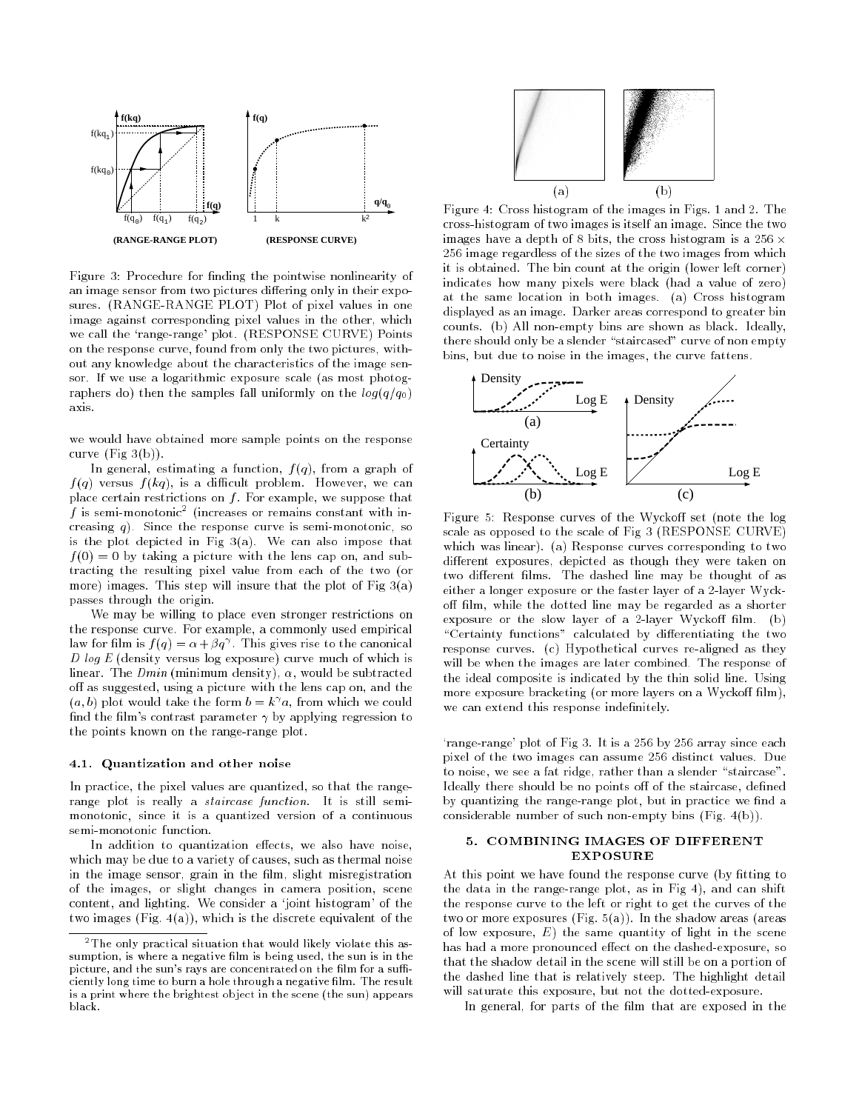

Figure 3: Procedure for finding the pointwise nonlinearity of an image sensor from two pictures differing only in their exposures. (RANGE-RANGE PLOT) Plot of pixel values in one image against corresponding pixel values in the other, which we call the `range-range' plot. (RESPONSE CURVE) Points on the response curve, found from only the two pictures, without any knowledge about the characteristics of the image sensor. If we use a logarithmic exposure scale (as most photographers do) then the samples fall uniformly on the  $log(q/q_0)$ axis.

we would have obtained more sample points on the response curve  $(Fig 3(b))$ .

In general, estimating a function,  $f(q)$ , from a graph of f (q) versus <sup>f</sup> (kq), is a dicult problem. However, we can place certain restrictions on  $f$ . For example, we suppose that  $\bar{t}$  is semi-monotonic $\bar{c}$  (increases or remains constant with increasing  $q$ ). Since the response curve is semi-monotonic, so is the plot depicted in Fig 3(a). We can also impose that f (0) = 0 by taking a picture with the lens cap on, and subtracting the resulting pixel value from each of the two (or more) images. This step will insure that the plot of Fig  $3(a)$ passes through the origin.

We may be willing to place even stronger restrictions on the response curve. For example, a commonly used empirical law for film is  $f(q) = \alpha + \beta q'$ . This gives rise to the canonical D log E (density versus log exposure) curve much of which is linear. The  $Dmin$  (minimum density),  $\alpha$ , would be subtracted off as suggested, using a picture with the lens cap on, and the  $(a, b)$  plot would take the form  $b = k/a$ , from which we could find the film's contrast parameter  $\gamma$  by applying regression to the points known on the range-range plot.

# 4.1. Quantization and other noise

In practice, the pixel values are quantized, so that the rangerange plot is really a staircase function. It is still semimonotonic, since it is a quantized version of a continuous semi-monotonic function.

In addition to quantization effects, we also have noise, which may be due to a variety of causes, such as thermal noise in the image sensor, grain in the film, slight misregistration of the images, or slight changes in camera position, scene content, and lighting. We consider a `joint histogram' of the two images  $(Fig. 4(a))$ , which is the discrete equivalent of the



Figure 4: Cross histogram of the images in Figs. 1 and 2. The cross-histogram of two images is itself an image. Since the two images have a depth of 8 bits, the cross histogram is a 256  $\times$ 256 image regardless of the sizes of the two images from which it is obtained. The bin count at the origin (lower left corner) indicates how many pixels were black (had a value of zero) at the same location in both images. (a) Cross histogram displayed as an image. Darker areas correspond to greater bin counts. (b) All non-empty bins are shown as black. Ideally, there should only be a slender "staircased" curve of non empty bins, but due to noise in the images, the curve fattens.



Figure 5: Response curves of the Wyckoff set (note the log scale as opposed to the scale of Fig 3 (RESPONSE CURVE) which was linear). (a) Response curves corresponding to two different exposures, depicted as though they were taken on two different films. The dashed line may be thought of as either a longer exposure or the faster layer of a 2-layer Wyckoff film, while the dotted line may be regarded as a shorter exposure or the slow layer of a 2-layer Wyckoff film. (b) "Certainty functions" calculated by differentiating the two response curves. (c) Hypothetical curves re-aligned as they will be when the images are later combined. The response of the ideal composite is indicated by the thin solid line. Using more exposure bracketing (or more layers on a Wyckoff film), we can extend this response indefinitely.

`range-range' plot of Fig 3. It is a 256 by 256 array since each pixel of the two images can assume 256 distinct values. Due to noise, we see a fat ridge, rather than a slender "staircase". Ideally there should be no points off of the staircase, defined by quantizing the range-range plot, but in practice we find a considerable number of such non-empty bins (Fig. 4(b)).

# 5. COMBINING IMAGES OF DIFFERENT EXPOSURE

At this point we have found the response curve (by fitting to the data in the range-range plot, as in Fig 4), and can shift the response curve to the left or right to get the curves of the two or more exposures (Fig.  $5(a)$ ). In the shadow areas (areas of low exposure,  $E$ ) the same quantity of light in the scene has had a more pronounced effect on the dashed-exposure, so that the shadow detail in the scene will still be on a portion of the dashed line that is relatively steep. The highlight detail will saturate this exposure, but not the dotted-exposure.

In general, for parts of the film that are exposed in the

<sup>&</sup>lt;sup>2</sup>The only practical situation that would likely violate this assumption, is where a negative lm is being used, the sun is in the picture, and the sun's rays are concentrated on the film for a sufficiently long time to burn a hole through a negative film. The result is a print where the brightest ob ject in the scene (the sun) appearsblack.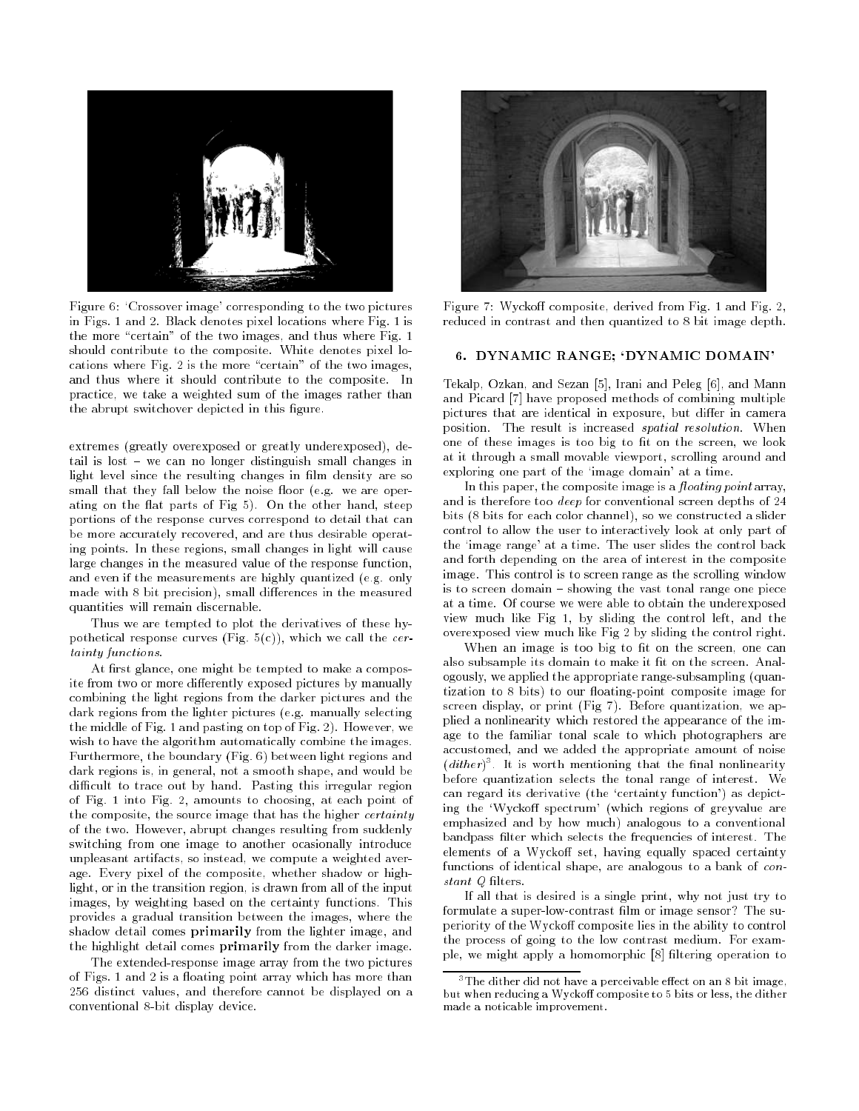

Figure 6: `Crossover image' corresponding to the two pictures in Figs. 1 and 2. Black denotes pixel locations where Fig. 1 is the more "certain" of the two images, and thus where Fig. 1 should contribute to the composite. White denotes pixel locations where Fig. 2 is the more "certain" of the two images, and thus where it should contribute to the composite. In practice, we take a weighted sum of the images rather than the abrupt switchover depicted in this figure.

extremes (greatly overexposed or greatly underexposed), detail is lost { we can no longer distinguish small changes in light level since the resulting changes in film density are so small that they fall below the noise floor (e.g. we are operating on the flat parts of Fig 5). On the other hand, steep portions of the response curves correspond to detail that can be more accurately recovered, and are thus desirable operating points. In these regions, small changes in light will cause large changes in the measured value of the response function, and even if the measurements are highly quantized (e.g. only made with 8 bit precision), small differences in the measured quantities will remain discernable.

Thus we are tempted to plot the derivatives of these hypothetical response curves (Fig.  $5(c)$ ), which we call the *cer*tainty functions.

At first glance, one might be tempted to make a composite from two or more differently exposed pictures by manually combining the light regions from the darker pictures and the dark regions from the lighter pictures (e.g. manually selecting the middle of Fig. 1 and pasting on top of Fig. 2). However, we wish to have the algorithm automatically combine the images. Furthermore, the boundary (Fig. 6) between light regions and dark regions is, in general, not a smooth shape, and would be difficult to trace out by hand. Pasting this irregular region of Fig. 1 into Fig. 2, amounts to choosing, at each point of the composite, the source image that has the higher *certainty* of the two. However, abrupt changes resulting from suddenly switching from one image to another ocasionally introduce unpleasant artifacts, so instead, we compute a weighted average. Every pixel of the composite, whether shadow or highlight, or in the transition region, is drawn from all of the input images, by weighting based on the certainty functions. This provides a gradual transition between the images, where the shadow detail comes primarily from the lighter image, and the highlight detail comes primarily from the darker image.

The extended-response image array from the two pictures of Figs. 1 and 2 is a floating point array which has more than 256 distinct values, and therefore cannot be displayed on a conventional 8-bit display device.



Figure 7: Wyckoff composite, derived from Fig. 1 and Fig. 2, reduced in contrast and then quantized to 8 bit image depth.

### 6. DYNAMIC RANGE; `DYNAMIC DOMAIN'

Tekalp, Ozkan, and Sezan [5], Irani and Peleg [6], and Mann and Picard [7] have proposed methods of combining multiple pictures that are identical in exposure, but differ in camera position. The result is increased spatial resolution. When one of these images is too big to fit on the screen, we look at it through a small movable viewport, scrolling around and exploring one part of the 'image domain' at a time.

In this paper, the composite image is a  $floating$  point array, and is therefore too deep for conventional screen depths of 24 bits (8 bits for each color channel), so we constructed a slider control to allow the user to interactively look at only part of the `image range' at a time. The user slides the control back and forth depending on the area of interest in the composite image. This control is to screen range as the scrolling window is to screen domain  $-$  showing the vast tonal range one piece at a time. Of course we were able to obtain the underexposed view much like Fig 1, by sliding the control left, and the overexposed view much like Fig 2 by sliding the control right.

When an image is too big to fit on the screen, one can also subsample its domain to make it fit on the screen. Analogously, we applied the appropriate range-subsampling (quantization to 8 bits) to our floating-point composite image for screen display, or print (Fig 7). Before quantization, we applied a nonlinearity which restored the appearance of the image to the familiar tonal scale to which photographers are accustomed, and we added the appropriate amount of noise  $(a\,u$ ner)]. It is worth mentioning that the final nonlinearity before quantization selects the tonal range of interest. We can regard its derivative (the `certainty function') as depicting the 'Wyckoff spectrum' (which regions of greyvalue are emphasized and by how much) analogous to a conventional bandpass filter which selects the frequencies of interest. The elements of a Wyckoff set, having equally spaced certainty functions of identical shape, are analogous to a bank of constant Q lters.

If all that is desired is a single print, why not just try to formulate a super-low-contrast film or image sensor? The superiority of the Wyckoff composite lies in the ability to control the process of going to the low contrast medium. For example, we might apply a homomorphic [8] filtering operation to

 $3$ The dither did not have a perceivable effect on an 8 bit image, but when reducing a Wyckoff composite to 5 bits or less, the dither made a noticable improvement.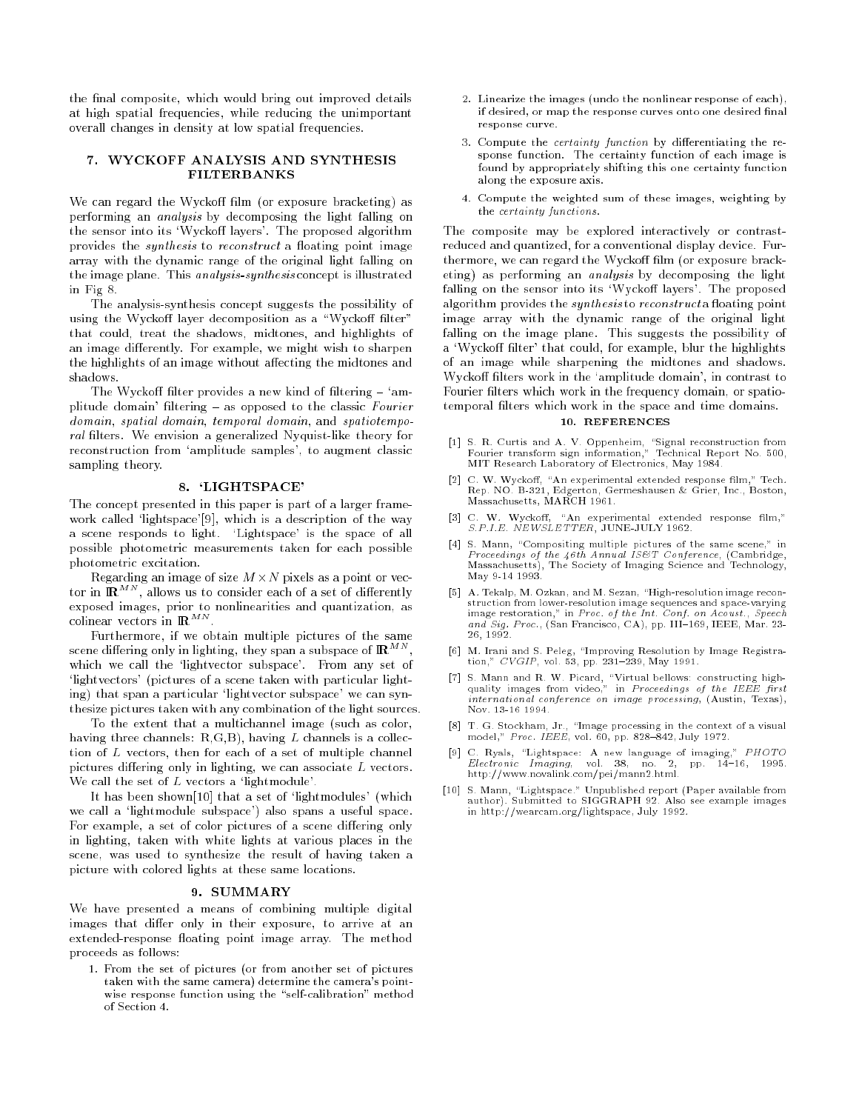the final composite, which would bring out improved details at high spatial frequencies, while reducing the unimportant overall changes in density at low spatial frequencies.

# 7. WYCKOFF ANALYSIS AND SYNTHESIS

We can regard the Wyckoff film (or exposure bracketing) as performing an analysis by decomposing the light falling on the sensor into its 'Wyckoff layers'. The proposed algorithm provides the *synthesis* to *reconstruct* a floating point image array with the dynamic range of the original light falling on the image plane. This analysis-synthesis concept is illustrated in Fig 8. in Fig 8.

The analysis-synthesis concept suggests the possibility of using the Wyckoff layer decomposition as a "Wyckoff filter" that could, treat the shadows, midtones, and highlights of an image differently. For example, we might wish to sharpen the highlights of an image without affecting the midtones and shadows.

The Wyckoff filter provides a new kind of filtering  $-$  'amplitude domain' filtering  $-$  as opposed to the classic Fourier domain, spatial domain, temporal domain, and spatiotemporal lters. We envision a generalized Nyquist-like theory for reconstruction from `amplitude samples', to augment classic sampling theory.

#### 8. `LIGHTSPACE'

The concept presented in this paper is part of a larger framework called 'lightspace'[9], which is a description of the way a scene responds to light. `Lightspace' is the space of all possible photometric measurements taken for each possible photometric excitation.

Regarding an image of size <sup>M</sup> -N pixels as a point or vector in  $\mathbb{R}^{MN}$ , allows us to consider each of a set of differently exposed images, prior to nonlinearities and quantization, as colinear vectors in  $\mathbb{R}^{m \times n}$ .

Furthermore, if we obtain multiple pictures of the same scene differing only in lighting, they span a subspace of  $\mathbb{R}^{m\times n}$  , which we call the 'lightvector subspace'. From any set of 'lightvectors' (pictures of a scene taken with particular lighting) that span a particular 'lightvector subspace' we can synthesize pictures taken with any combination of the light sources.

To the extent that a multichannel image (such as color, having three channels:  $R, G, B$ ), having  $L$  channels is a collection of <sup>L</sup> vectors, then for each of a set of multiple channel pictures differing only in lighting, we can associate  $L$  vectors. We call the set of  $L$  vectors a 'lightmodule'.

It has been shown[10] that a set of 'lightmodules' (which we call a 'lightmodule subspace') also spans a useful space. For example, a set of color pictures of a scene differing only in lighting, taken with white lights at various places in the scene, was used to synthesize the result of having taken a picture with colored lights at these same locations.

#### 9. SUMMARY

We have presented a means of combining multiple digital images that differ only in their exposure, to arrive at an extended-response floating point image array. The method proceeds as follows: process as follows: the contract of the contract of the contract of the contract of the contract of the contract of the contract of the contract of the contract of the contract of the contract of the contract of the contra

1. From the set of pictures (or from another set of pictures taken with the same camera) determine the camera's pointwise respective response function  $\eta$  and  $\eta$  called the method method  $\eta$ 

- 2. Linearize the images (undo the nonlinear response of each), if desired, or map the response curves onto one desired final response curve response curve.
- 3. Compute the certainty function by dierentiating the response function. The certainty function of each image is found by appropriately shifting this one certainty function along the exposure axis.
- 4. Compute the weighted sum of these images, weighting by the certainty functions.

The composite may be explored interactively or contrastreduced and quantized, for a conventional display device. Furthermore, we can regard the Wyckoff film (or exposure bracketing) as performing an analysis by decomposing the light falling on the sensor into its 'Wyckoff layers'. The proposed algorithm provides the synthesis to reconstruct a floating point image array with the dynamic range of the original light falling on the image plane. This suggests the possibility of a 'Wyckoff filter' that could, for example, blur the highlights of an image while sharpening the midtones and shadows. Wyckoff filters work in the 'amplitude domain', in contrast to Fourier filters which work in the frequency domain, or spatiotemporal filters which work in the space and time domains.

#### 10. REFERENCES

- [1] S. R. Curtis and A. V. Oppenheim, "Signal reconstruction from Fourier transform sign information," Technical Report No. 500, MIT Research Laboratory of Electronics, May 1984.
- [2] C. W. Wyckoff, "An experimental extended response film," Tech. Rep. NO. B-321, Edgerton, Germeshausen & Grier, Inc., Boston, Massachusetts, MARCH 1961.
- C. W. Wyckoff, "An experimental extended response  $\operatorname{film}_!$ " S.P.I.E. NEWSLETTER, JUNE-JULY 1962.
- [4] S. Mann, "Compositing multiple pictures of the same scene," in Proceedings of the 46th Annual IS&T Conference, (Cambridge, Massachusetts), The Society of Imaging Science and Technology, May 9-14 1993.
- [5] A. Tekalp, M. Ozkan, and M. Sezan, "High-resolution image reconstruction from lower-resolution image sequences and space-varying and  $Sig$ . Proc., (San Francisco, CA), pp. III-169, IEEE, Mar. 23-26, 1992.
- [6] M. Irani and S. Peleg, "Improving Resolution by Image Registration,"  $CVGIP$ , vol. 53, pp. 231-239, May 1991.
- quality images from video," in Proceedings of the IEEE first international conference on image processing, (Austin, Texas), Nov. 13-16 1994.
- [8] T. G. Stockham, Jr., "Image processing in the context of a visual model," Proc. IEEE, vol.  $60$ , pp. 828-842, July 1972.
- [9] C. Ryals, \Lightspace: A new language of imaging," PHOTO  $Electronic$   $Imaging$ , vol. 38, no. 2, pp. 14-16, 1995. http://www.novalink.com/pei/mann2.html.
- [10] S. Mann, "Lightspace." Unpublished report (Paper available from author). Submitted to SIGGRAPH 92. Also see example images in http://wearcam.org/lightspace, July 1992.